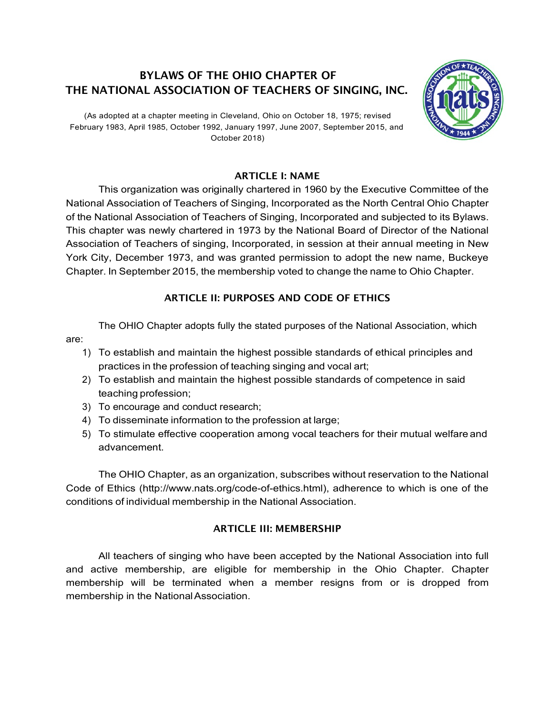# BYLAWS OF THE OHIO CHAPTER OF THE NATIONAL ASSOCIATION OF TEACHERS OF SINGING, INC.

(As adopted at a chapter meeting in Cleveland, Ohio on October 18, 1975; revised February 1983, April 1985, October 1992, January 1997, June 2007, September 2015, and October 2018)

### ARTICLE I: NAME

This organization was originally chartered in 1960 by the Executive Committee of the National Association of Teachers of Singing, Incorporated as the North Central Ohio Chapter of the National Association of Teachers of Singing, Incorporated and subjected to its Bylaws. This chapter was newly chartered in 1973 by the National Board of Director of the National Association of Teachers of singing, Incorporated, in session at their annual meeting in New York City, December 1973, and was granted permission to adopt the new name, Buckeye Chapter. In September 2015, the membership voted to change the name to Ohio Chapter.

## ARTICLE II: PURPOSES AND CODE OF ETHICS

The OHIO Chapter adopts fully the stated purposes of the National Association, which

- 1) To establish and maintain the highest possible standards of ethical principles and practices in the profession of teaching singing and vocal art;
- 2) To establish and maintain the highest possible standards of competence in said teaching profession;
- 3) To encourage and conduct research;

are:

- 4) To disseminate information to the profession at large;
- 5) To stimulate effective cooperation among vocal teachers for their mutual welfare and advancement.

The OHIO Chapter, as an organization, subscribes without reservation to the National Code of Ethics (http://www.nats.org/code-of-ethics.html), adherence to which is one of the conditions of individual membership in the National Association.

## ARTICLE III: MEMBERSHIP

All teachers of singing who have been accepted by the National Association into full and active membership, are eligible for membership in the Ohio Chapter. Chapter membership will be terminated when a member resigns from or is dropped from membership in the National Association.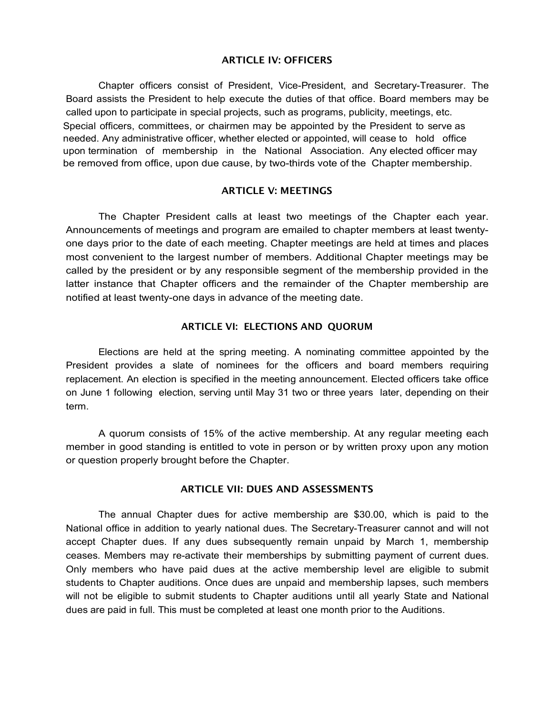#### ARTICLE IV: OFFICERS

Chapter officers consist of President, Vice-President, and Secretary-Treasurer. The Board assists the President to help execute the duties of that office. Board members may be called upon to participate in special projects, such as programs, publicity, meetings, etc. Special officers, committees, or chairmen may be appointed by the President to serve as needed. Any administrative officer, whether elected or appointed, will cease to hold office upon termination of membership in the National Association. Any elected officer may be removed from office, upon due cause, by two-thirds vote of the Chapter membership.

#### ARTICLE V: MEETINGS

The Chapter President calls at least two meetings of the Chapter each year. Announcements of meetings and program are emailed to chapter members at least twentyone days prior to the date of each meeting. Chapter meetings are held at times and places most convenient to the largest number of members. Additional Chapter meetings may be called by the president or by any responsible segment of the membership provided in the latter instance that Chapter officers and the remainder of the Chapter membership are notified at least twenty-one days in advance of the meeting date.

#### ARTICLE VI: ELECTIONS AND QUORUM

Elections are held at the spring meeting. A nominating committee appointed by the President provides a slate of nominees for the officers and board members requiring replacement. An election is specified in the meeting announcement. Elected officers take office on June 1 following election, serving until May 31 two or three years later, depending on their term.

A quorum consists of 15% of the active membership. At any regular meeting each member in good standing is entitled to vote in person or by written proxy upon any motion or question properly brought before the Chapter.

#### ARTICLE VII: DUES AND ASSESSMENTS

The annual Chapter dues for active membership are \$30.00, which is paid to the National office in addition to yearly national dues. The Secretary-Treasurer cannot and will not accept Chapter dues. If any dues subsequently remain unpaid by March 1, membership ceases. Members may re-activate their memberships by submitting payment of current dues. Only members who have paid dues at the active membership level are eligible to submit students to Chapter auditions. Once dues are unpaid and membership lapses, such members will not be eligible to submit students to Chapter auditions until all yearly State and National dues are paid in full. This must be completed at least one month prior to the Auditions.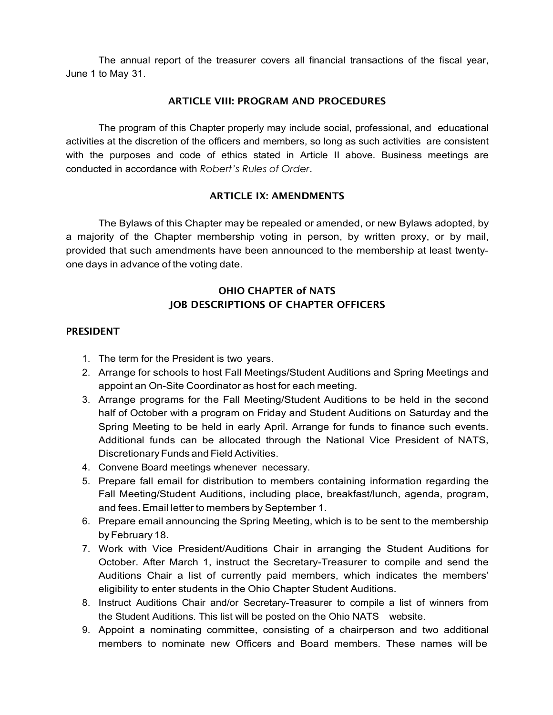The annual report of the treasurer covers all financial transactions of the fiscal year, June 1 to May 31.

#### ARTICLE VIII: PROGRAM AND PROCEDURES

The program of this Chapter properly may include social, professional, and educational activities at the discretion of the officers and members, so long as such activities are consistent with the purposes and code of ethics stated in Article II above. Business meetings are conducted in accordance with *Robert's Rules of Order*.

### ARTICLE IX: AMENDMENTS

The Bylaws of this Chapter may be repealed or amended, or new Bylaws adopted, by a majority of the Chapter membership voting in person, by written proxy, or by mail, provided that such amendments have been announced to the membership at least twentyone days in advance of the voting date.

### OHIO CHAPTER of NATS JOB DESCRIPTIONS OF CHAPTER OFFICERS

#### PRESIDENT

- 1. The term for the President is two years.
- 2. Arrange for schools to host Fall Meetings/Student Auditions and Spring Meetings and appoint an On-Site Coordinator as host for each meeting.
- 3. Arrange programs for the Fall Meeting/Student Auditions to be held in the second half of October with a program on Friday and Student Auditions on Saturday and the Spring Meeting to be held in early April. Arrange for funds to finance such events. Additional funds can be allocated through the National Vice President of NATS, Discretionary Funds and Field Activities.
- 4. Convene Board meetings whenever necessary.
- 5. Prepare fall email for distribution to members containing information regarding the Fall Meeting/Student Auditions, including place, breakfast/lunch, agenda, program, and fees. Email letter to members by September 1.
- 6. Prepare email announcing the Spring Meeting, which is to be sent to the membership byFebruary 18.
- 7. Work with Vice President/Auditions Chair in arranging the Student Auditions for October. After March 1, instruct the Secretary-Treasurer to compile and send the Auditions Chair a list of currently paid members, which indicates the members' eligibility to enter students in the Ohio Chapter Student Auditions.
- 8. Instruct Auditions Chair and/or Secretary-Treasurer to compile a list of winners from the Student Auditions. This list will be posted on the Ohio NATS website.
- 9. Appoint a nominating committee, consisting of a chairperson and two additional members to nominate new Officers and Board members. These names will be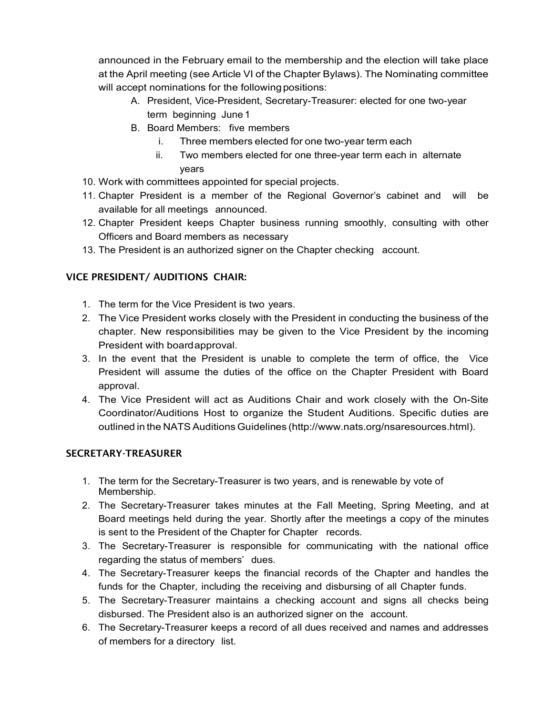announced in the February email to the membership and the election will take place at the April meeting (see Article VI of the Chapter Bylaws). The Nominating committee will accept nominations for the following positions:

- A. President, Vice-President, Secretary-Treasurer: elected for one two-year term beginning June 1
- B. Board Members: five members
	- i. Three members elected for one two-year term each
	- ii. Two members elected for one three-year term each in alternate years
- 10. Work with committees appointed for special projects.
- 11. Chapter President is a member of the Regional Governor's cabinet and will be available for all meetings announced.
- 12. Chapter President keeps Chapter business running smoothly, consulting with other Officers and Board members as necessary
- 13. The President is an authorized signer on the Chapter checking account.

## VICE PRESIDENT/ AUDITIONS CHAIR:

- 1. The term for the Vice President is two years.
- 2. The Vice President works closely with the President in conducting the business of the chapter. New responsibilities may be given to the Vice President by the incoming President with boardapproval.
- 3. In the event that the President is unable to complete the term of office, the Vice President will assume the duties of the office on the Chapter President with Board approval.
- 4. The Vice President will act as Auditions Chair and work closely with the On-Site Coordinator/Auditions Host to organize the Student Auditions. Specific duties are outlined in the NATS Auditions Guidelines (http://www.nats.org/nsaresources.html).

### SECRETARY-TREASURER

- 1. The term for the Secretary-Treasurer is two years, and is renewable by vote of Membership.
- 2. The Secretary-Treasurer takes minutes at the Fall Meeting, Spring Meeting, and at Board meetings held during the year. Shortly after the meetings a copy of the minutes is sent to the President of the Chapter for Chapter records.
- 3. The Secretary-Treasurer is responsible for communicating with the national office regarding the status of members' dues.
- 4. The Secretary-Treasurer keeps the financial records of the Chapter and handles the funds for the Chapter, including the receiving and disbursing of all Chapter funds.
- 5. The Secretary-Treasurer maintains a checking account and signs all checks being disbursed. The President also is an authorized signer on the account.
- 6. The Secretary-Treasurer keeps a record of all dues received and names and addresses of members for a directory list.